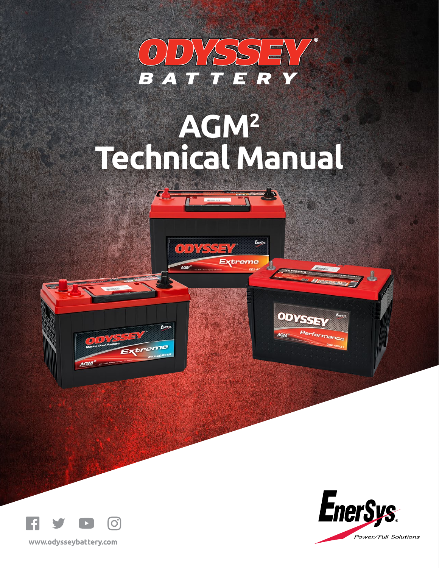

# **AGM2 Technical Manual**

 $00X5577$ 

AGM<sup>2</sup>

Extreme

ODYSSE

AGM

<sup>erformance</sup>





 $\overline{J}$ 



www.odysseybattery.com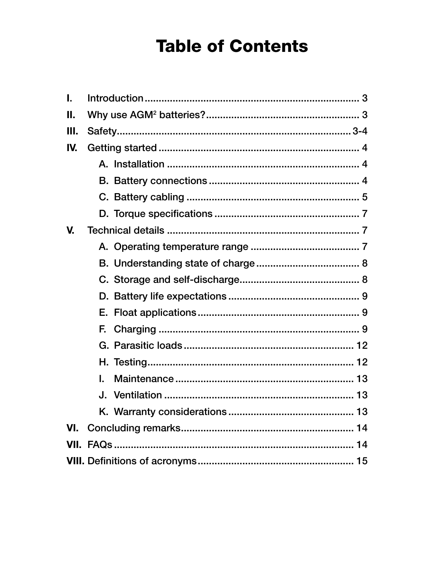# **Table of Contents**

| $\mathbf{I}$ . |    |  |  |
|----------------|----|--|--|
| П.             |    |  |  |
| Ш.             |    |  |  |
| IV.            |    |  |  |
|                |    |  |  |
|                |    |  |  |
|                |    |  |  |
|                |    |  |  |
| V.             |    |  |  |
|                |    |  |  |
|                |    |  |  |
|                |    |  |  |
|                |    |  |  |
|                |    |  |  |
|                |    |  |  |
|                |    |  |  |
|                |    |  |  |
|                | L. |  |  |
|                |    |  |  |
|                |    |  |  |
| VI.            |    |  |  |
|                |    |  |  |
|                |    |  |  |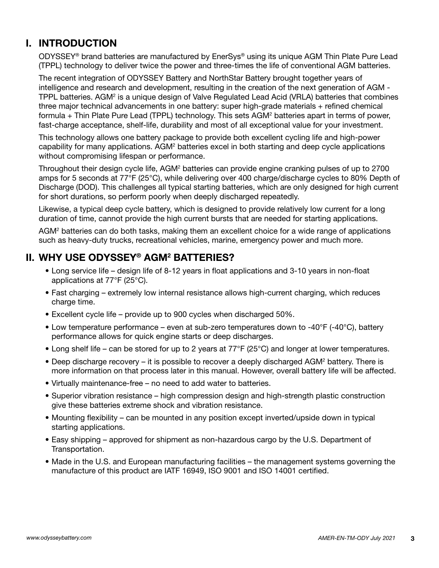# **I. INTRODUCTION**

 ODYSSEY® brand batteries are manufactured by EnerSys® using its unique AGM Thin Plate Pure Lead (TPPL) technology to deliver twice the power and three-times the life of conventional AGM batteries.

 The recent integration of ODYSSEY Battery and NorthStar Battery brought together years of intelligence and research and development, resulting in the creation of the next generation of AGM - TPPL batteries. AGM<sup>2</sup> is a unique design of Valve Regulated Lead Acid (VRLA) batteries that combines three major technical advancements in one battery: super high-grade materials + refined chemical formula + Thin Plate Pure Lead (TPPL) technology. This sets AGM<sup>2</sup> batteries apart in terms of power, fast-charge acceptance, shelf-life, durability and most of all exceptional value for your investment.

 This technology allows one battery package to provide both excellent cycling life and high-power capability for many applications. AGM<sup>2</sup> batteries excel in both starting and deep cycle applications without compromising lifespan or performance.

Throughout their design cycle life, AGM<sup>2</sup> batteries can provide engine cranking pulses of up to 2700 amps for 5 seconds at 77°F (25°C), while delivering over 400 charge/discharge cycles to 80% Depth of Discharge (DOD). This challenges all typical starting batteries, which are only designed for high current for short durations, so perform poorly when deeply discharged repeatedly.

 Likewise, a typical deep cycle battery, which is designed to provide relatively low current for a long duration of time, cannot provide the high current bursts that are needed for starting applications.

 AGM2 batteries can do both tasks, making them an excellent choice for a wide range of applications such as heavy-duty trucks, recreational vehicles, marine, emergency power and much more.

# **II. WHY USE ODYSSEY® AGM2 BATTERIES?**

- Long service life design life of 8-12 years in float applications and 3-10 years in non-float applications at 77°F (25°C).
- Fast charging extremely low internal resistance allows high-current charging, which reduces charge time.
- Excellent cycle life provide up to 900 cycles when discharged 50%.
- Low temperature performance even at sub-zero temperatures down to -40°F (-40°C), battery performance allows for quick engine starts or deep discharges.
- Long shelf life can be stored for up to 2 years at 77°F (25°C) and longer at lower temperatures.
- Deep discharge recovery it is possible to recover a deeply discharged AGM<sup>2</sup> battery. There is more information on that process later in this manual. However, overall battery life will be affected.
	- Virtually maintenance-free no need to add water to batteries.
	- Superior vibration resistance high compression design and high-strength plastic construction give these batteries extreme shock and vibration resistance.
	- Mounting flexibility can be mounted in any position except inverted/upside down in typical starting applications.
	- Easy shipping approved for shipment as non-hazardous cargo by the U.S. Department of Transportation.
	- Made in the U.S. and European manufacturing facilities the management systems governing the manufacture of this product are IATF 16949, ISO 9001 and ISO 14001 certified.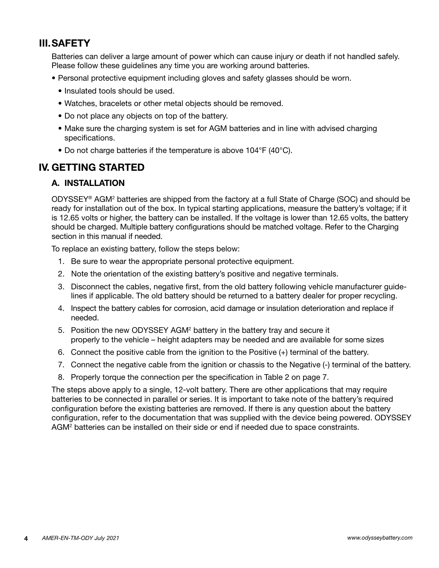# **III.SAFETY**

 Batteries can deliver a large amount of power which can cause injury or death if not handled safely. Please follow these guidelines any time you are working around batteries.

- Personal protective equipment including gloves and safety glasses should be worn.
	- Insulated tools should be used.
	- Watches, bracelets or other metal objects should be removed.
	- Do not place any objects on top of the battery.
	- Make sure the charging system is set for AGM batteries and in line with advised charging specifications.
	- Do not charge batteries if the temperature is above 104°F (40°C).

# **IV. GETTING STARTED**

# **A. INSTALLATION**

ODYSSEY® AGM<sup>2</sup> batteries are shipped from the factory at a full State of Charge (SOC) and should be ready for installation out of the box. In typical starting applications, measure the battery's voltage; if it is 12.65 volts or higher, the battery can be installed. If the voltage is lower than 12.65 volts, the battery should be charged. Multiple battery configurations should be matched voltage. Refer to the Charging section in this manual if needed.

To replace an existing battery, follow the steps below:

- 1. Be sure to wear the appropriate personal protective equipment.
- 2. Note the orientation of the existing battery's positive and negative terminals.
- 3. Disconnect the cables, negative first, from the old battery following vehicle manufacturer guidelines if applicable. The old battery should be returned to a battery dealer for proper recycling.
- 4. Inspect the battery cables for corrosion, acid damage or insulation deterioration and replace if needed.
- 5. Position the new ODYSSEY AGM<sup>2</sup> battery in the battery tray and secure it properly to the vehicle – height adapters may be needed and are available for some sizes
	- 6. Connect the positive cable from the ignition to the Positive (+) terminal of the battery.
	- 7. Connect the negative cable from the ignition or chassis to the Negative (-) terminal of the battery.
	- 8. Properly torque the connection per the specification in Table 2 on page 7.

 The steps above apply to a single, 12-volt battery. There are other applications that may require batteries to be connected in parallel or series. It is important to take note of the battery's required configuration before the existing batteries are removed. If there is any question about the battery configuration, refer to the documentation that was supplied with the device being powered. ODYSSEY AGM<sup>2</sup> batteries can be installed on their side or end if needed due to space constraints.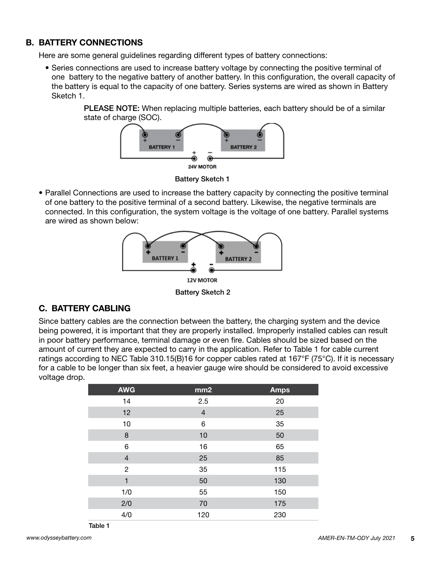# **B. BATTERY CONNECTIONS**

Here are some general guidelines regarding different types of battery connections:

 • Series connections are used to increase battery voltage by connecting the positive terminal of one battery to the negative battery of another battery. In this configuration, the overall capacity of the battery is equal to the capacity of one battery. Series systems are wired as shown in Battery Sketch 1.

> PLEASE NOTE: When replacing multiple batteries, each battery should be of a similar state of charge (SOC).



Battery Sketch 1

 • Parallel Connections are used to increase the battery capacity by connecting the positive terminal of one battery to the positive terminal of a second battery. Likewise, the negative terminals are connected. In this configuration, the system voltage is the voltage of one battery. Parallel systems are wired as shown below:



Battery Sketch 2

#### **C. BATTERY CABLING**

 Since battery cables are the connection between the battery, the charging system and the device being powered, it is important that they are properly installed. Improperly installed cables can result in poor battery performance, terminal damage or even fire. Cables should be sized based on the amount of current they are expected to carry in the application. Refer to Table 1 for cable current ratings according to NEC Table 310.15(B)16 for copper cables rated at 167°F (75°C). If it is necessary for a cable to be longer than six feet, a heavier gauge wire should be considered to avoid excessive voltage drop.

| <b>AWG</b>     | mm2 | <b>Amps</b> |
|----------------|-----|-------------|
| 14             | 2.5 | 20          |
| 12             | 4   | 25          |
| 10             | 6   | 35          |
| 8              | 10  | 50          |
| 6              | 16  | 65          |
| $\overline{4}$ | 25  | 85          |
| $\overline{c}$ | 35  | 115         |
| 1              | 50  | 130         |
| 1/0            | 55  | 150         |
| 2/0            | 70  | 175         |
| 4/0            | 120 | 230         |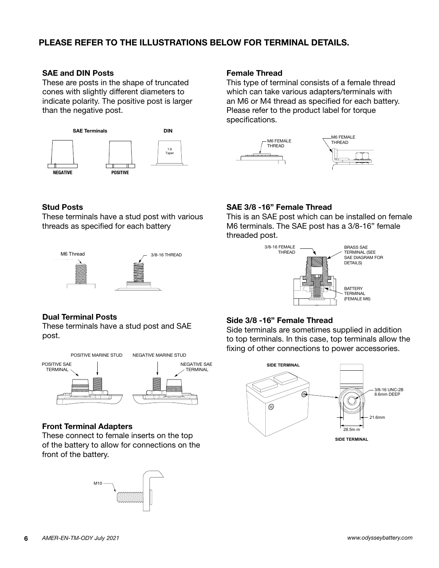# **PLEASE REFER TO THE ILLUSTRATIONS BELOW FOR TERMINAL DETAILS.**

#### **SAE and DIN Posts**

These are posts in the shape of truncated cones with slightly different diameters to indicate polarity. The positive post is larger than the negative post.



#### **Female Thread**

This type of terminal consists of a female thread which can take various adapters/terminals with an M6 or M4 thread as specified for each battery. Please refer to the product label for torque specifications.



#### **Stud Posts**

These terminals have a stud post with various threads as specified for each battery



#### **SAE 3/8 -16" Female Thread**

This is an SAE post which can be installed on female M6 terminals. The SAE post has a 3/8-16" female threaded post.



#### **Dual Terminal Posts**

These terminals have a stud post and SAE post.



#### **Front Terminal Adapters**

These connect to female inserts on the top of the battery to allow for connections on the front of the battery.



#### **Side 3/8 -16" Female Thread**

Side terminals are sometimes supplied in addition to top terminals. In this case, top terminals allow the fixing of other connections to power accessories.

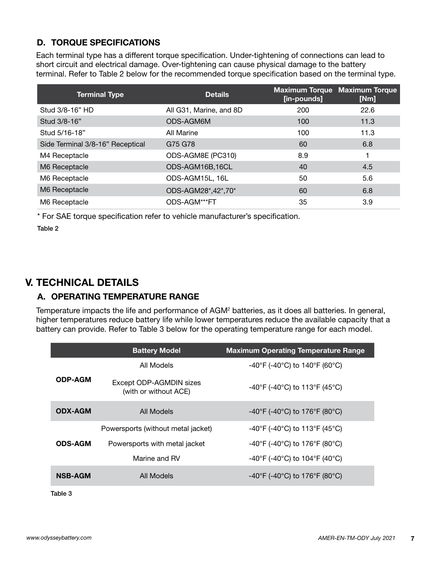# **D. TORQUE SPECIFICATIONS**

 Each terminal type has a different torque specification. Under-tightening of connections can lead to short circuit and electrical damage. Over-tightening can cause physical damage to the battery terminal. Refer to Table 2 below for the recommended torque specification based on the terminal type.

| <b>Terminal Type</b>             | <b>Details</b>          | [in-pounds] | <b>Maximum Torque Maximum Torque</b><br>[Nm] |
|----------------------------------|-------------------------|-------------|----------------------------------------------|
| Stud 3/8-16" HD                  | All G31, Marine, and 8D | 200         | 22.6                                         |
| Stud 3/8-16"                     | ODS-AGM6M               | 100         | 11.3                                         |
| Stud 5/16-18"                    | All Marine              | 100         | 11.3                                         |
| Side Terminal 3/8-16" Receptical | G75 G78                 | 60          | 6.8                                          |
| M4 Receptacle                    | ODS-AGM8E (PC310)       | 8.9         |                                              |
| M6 Receptacle                    | ODS-AGM16B,16CL         | 40          | 4.5                                          |
| M6 Receptacle                    | ODS-AGM15L, 16L         | 50          | 5.6                                          |
| M6 Receptacle                    | ODS-AGM28*,42*,70*      | 60          | 6.8                                          |
| M6 Receptacle                    | ODS-AGM***FT            | 35          | 3.9                                          |

\* For SAE torque specification refer to vehicle manufacturer's specification.

Table 2

# **V. TECHNICAL DETAILS**

# **A. OPERATING TEMPERATURE RANGE**

Temperature impacts the life and performance of AGM<sup>2</sup> batteries, as it does all batteries. In general, higher temperatures reduce battery life while lower temperatures reduce the available capacity that a battery can provide. Refer to Table 3 below for the operating temperature range for each model.

|                | <b>Battery Model</b>                             | <b>Maximum Operating Temperature Range</b>                               |
|----------------|--------------------------------------------------|--------------------------------------------------------------------------|
|                | All Models                                       | $-40^{\circ}$ F (-40 $^{\circ}$ C) to 140 $^{\circ}$ F (60 $^{\circ}$ C) |
| <b>ODP-AGM</b> | Except ODP-AGMDIN sizes<br>(with or without ACE) | -40°F (-40°C) to 113°F (45°C)                                            |
| <b>ODX-AGM</b> | All Models                                       | $-40^{\circ}$ F (-40 $^{\circ}$ C) to 176 $^{\circ}$ F (80 $^{\circ}$ C) |
|                | Powersports (without metal jacket)               | -40°F (-40°C) to 113°F (45°C)                                            |
| <b>ODS-AGM</b> | Powersports with metal jacket                    | $-40^{\circ}$ F (-40 $^{\circ}$ C) to 176 $^{\circ}$ F (80 $^{\circ}$ C) |
|                | Marine and RV                                    | $-40^{\circ}$ F (-40 $^{\circ}$ C) to 104 $^{\circ}$ F (40 $^{\circ}$ C) |
| <b>NSB-AGM</b> | All Models                                       | -40°F (-40°C) to 176°F (80°C)                                            |

Table 3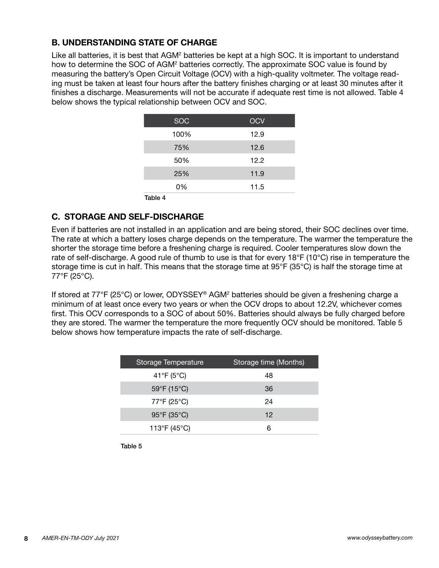# **B. UNDERSTANDING STATE OF CHARGE**

Like all batteries, it is best that AGM<sup>2</sup> batteries be kept at a high SOC. It is important to understand how to determine the SOC of AGM<sup>2</sup> batteries correctly. The approximate SOC value is found by measuring the battery's Open Circuit Voltage (OCV) with a high-quality voltmeter. The voltage reading must be taken at least four hours after the battery finishes charging or at least 30 minutes after it finishes a discharge. Measurements will not be accurate if adequate rest time is not allowed. Table 4 below shows the typical relationship between OCV and SOC.

| <b>SOC</b> | <b>OCV</b> |
|------------|------------|
| 100%       | 12.9       |
| 75%        | 12.6       |
| 50%        | 12.2       |
| 25%        | 11.9       |
| 0%         | 11.5       |
| Table 4    |            |

# **C. STORAGE AND SELF-DISCHARGE**

 Even if batteries are not installed in an application and are being stored, their SOC declines over time. The rate at which a battery loses charge depends on the temperature. The warmer the temperature the shorter the storage time before a freshening charge is required. Cooler temperatures slow down the rate of self-discharge. A good rule of thumb to use is that for every 18°F (10°C) rise in temperature the storage time is cut in half. This means that the storage time at 95°F (35°C) is half the storage time at 77°F (25°C).

 If stored at 77°F (25°C) or lower, ODYSSEY® AGM2 batteries should be given a freshening charge a minimum of at least once every two years or when the OCV drops to about 12.2V, whichever comes first. This OCV corresponds to a SOC of about 50%. Batteries should always be fully charged before they are stored. The warmer the temperature the more frequently OCV should be monitored. Table 5 below shows how temperature impacts the rate of self-discharge.

| Storage Temperature | Storage time (Months) |
|---------------------|-----------------------|
| 41°F (5°C)          | 48                    |
| 59°F (15°C)         | 36                    |
| 77°F (25°C)         | 24                    |
| 95°F (35°C)         | 12                    |
| 113°F (45°C)        | 6                     |

Table 5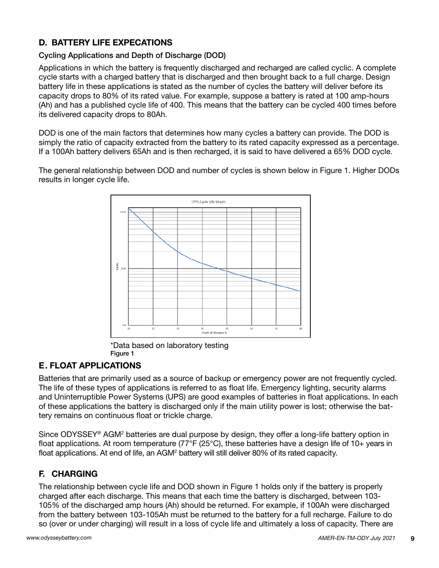# **D. BATTERY LIFE EXPECATIONS**

# Cycling Applications and Depth of Discharge (DOD)

 Applications in which the battery is frequently discharged and recharged are called cyclic. A complete cycle starts with a charged battery that is discharged and then brought back to a full charge. Design battery life in these applications is stated as the number of cycles the battery will deliver before its capacity drops to 80% of its rated value. For example, suppose a battery is rated at 100 amp-hours (Ah) and has a published cycle life of 400. This means that the battery can be cycled 400 times before its delivered capacity drops to 80Ah.

 DOD is one of the main factors that determines how many cycles a battery can provide. The DOD is simply the ratio of capacity extracted from the battery to its rated capacity expressed as a percentage. If a 100Ah battery delivers 65Ah and is then recharged, it is said to have delivered a 65% DOD cycle.

 The general relationship between DOD and number of cycles is shown below in Figure 1. Higher DODs results in longer cycle life.



\*Data based on laboratory testing Figure 1

# **E. FLOAT APPLICATIONS**

 Batteries that are primarily used as a source of backup or emergency power are not frequently cycled. The life of these types of applications is referred to as float life. Emergency lighting, security alarms and Uninterruptible Power Systems (UPS) are good examples of batteries in float applications. In each of these applications the battery is discharged only if the main utility power is lost; otherwise the battery remains on continuous float or trickle charge.

Since ODYSSEY® AGM<sup>2</sup> batteries are dual purpose by design, they offer a long-life battery option in float applications. At room temperature (77°F (25°C), these batteries have a design life of 10+ years in float applications. At end of life, an AGM<sup>2</sup> battery will still deliver 80% of its rated capacity.

# **F. CHARGING**

 The relationship between cycle life and DOD shown in Figure 1 holds only if the battery is properly charged after each discharge. This means that each time the battery is discharged, between 103- 105% of the discharged amp hours (Ah) should be returned. For example, if 100Ah were discharged from the battery between 103-105Ah must be returned to the battery for a full recharge. Failure to do so (over or under charging) will result in a loss of cycle life and ultimately a loss of capacity. There are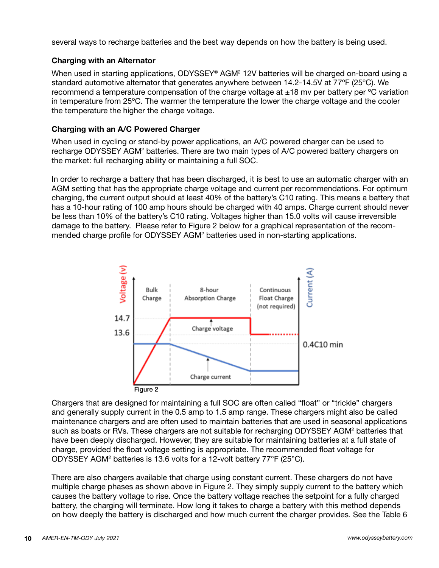several ways to recharge batteries and the best way depends on how the battery is being used.

#### **Charging with an Alternator**

When used in starting applications, ODYSSEY® AGM<sup>2</sup> 12V batteries will be charged on-board using a standard automotive alternator that generates anywhere between 14.2-14.5V at 77ºF (25ºC). We recommend a temperature compensation of the charge voltage at  $\pm 18$  mv per battery per °C variation in temperature from 25ºC. The warmer the temperature the lower the charge voltage and the cooler the temperature the higher the charge voltage.

#### **Charging with an A/C Powered Charger**

 When used in cycling or stand-by power applications, an A/C powered charger can be used to recharge ODYSSEY AGM<sup>2</sup> batteries. There are two main types of A/C powered battery chargers on the market: full recharging ability or maintaining a full SOC.

 In order to recharge a battery that has been discharged, it is best to use an automatic charger with an AGM setting that has the appropriate charge voltage and current per recommendations. For optimum charging, the current output should at least 40% of the battery's C10 rating. This means a battery that has a 10-hour rating of 100 amp hours should be charged with 40 amps. Charge current should never be less than 10% of the battery's C10 rating. Voltages higher than 15.0 volts will cause irreversible damage to the battery. Please refer to Figure 2 below for a graphical representation of the recommended charge profile for ODYSSEY AGM<sup>2</sup> batteries used in non-starting applications.



 Chargers that are designed for maintaining a full SOC are often called "float" or "trickle" chargers and generally supply current in the 0.5 amp to 1.5 amp range. These chargers might also be called maintenance chargers and are often used to maintain batteries that are used in seasonal applications such as boats or RVs. These chargers are not suitable for recharging ODYSSEY AGM<sup>2</sup> batteries that have been deeply discharged. However, they are suitable for maintaining batteries at a full state of charge, provided the float voltage setting is appropriate. The recommended float voltage for ODYSSEY AGM2 batteries is 13.6 volts for a 12-volt battery 77°F (25°C).

 There are also chargers available that charge using constant current. These chargers do not have multiple charge phases as shown above in Figure 2. They simply supply current to the battery which causes the battery voltage to rise. Once the battery voltage reaches the setpoint for a fully charged battery, the charging will terminate. How long it takes to charge a battery with this method depends on how deeply the battery is discharged and how much current the charger provides. See the Table 6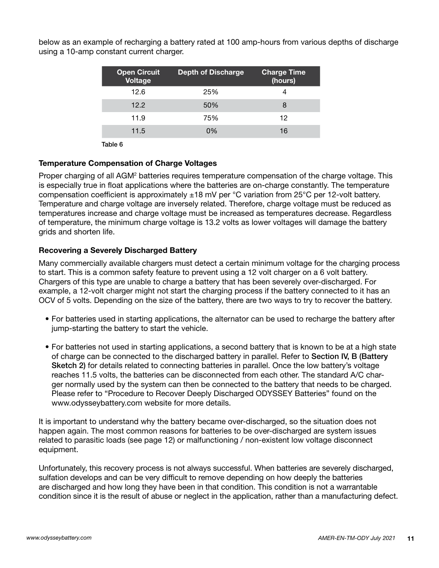below as an example of recharging a battery rated at 100 amp-hours from various depths of discharge using a 10-amp constant current charger.

| <b>Open Circuit</b><br><b>Voltage</b> | <b>Depth of Discharge</b> | <b>Charge Time</b><br>(hours) |
|---------------------------------------|---------------------------|-------------------------------|
| 12.6                                  | 25%                       |                               |
| 12.2                                  | 50%                       | 8                             |
| 11.9                                  | 75%                       | 12                            |
| 11.5                                  | 0%                        | 16                            |
|                                       |                           |                               |

Table 6

#### **Temperature Compensation of Charge Voltages**

Proper charging of all AGM<sup>2</sup> batteries requires temperature compensation of the charge voltage. This is especially true in float applications where the batteries are on-charge constantly. The temperature compensation coefficient is approximately  $\pm 18$  mV per °C variation from 25°C per 12-volt battery. Temperature and charge voltage are inversely related. Therefore, charge voltage must be reduced as temperatures increase and charge voltage must be increased as temperatures decrease. Regardless of temperature, the minimum charge voltage is 13.2 volts as lower voltages will damage the battery grids and shorten life.

#### **Recovering a Severely Discharged Battery**

 Many commercially available chargers must detect a certain minimum voltage for the charging process to start. This is a common safety feature to prevent using a 12 volt charger on a 6 volt battery. Chargers of this type are unable to charge a battery that has been severely over-discharged. For example, a 12-volt charger might not start the charging process if the battery connected to it has an OCV of 5 volts. Depending on the size of the battery, there are two ways to try to recover the battery.

- For batteries used in starting applications, the alternator can be used to recharge the battery after jump-starting the battery to start the vehicle.
- For batteries not used in starting applications, a second battery that is known to be at a high state of charge can be connected to the discharged battery in parallel. Refer to Section IV, B (Battery Sketch 2) for details related to connecting batteries in parallel. Once the low battery's voltage reaches 11.5 volts, the batteries can be disconnected from each other. The standard A/C charger normally used by the system can then be connected to the battery that needs to be charged. Please refer to "Procedure to Recover Deeply Discharged ODYSSEY Batteries" found on the www.odysseybattery.com website for more details.

 It is important to understand why the battery became over-discharged, so the situation does not happen again. The most common reasons for batteries to be over-discharged are system issues related to parasitic loads (see page 12) or malfunctioning / non-existent low voltage disconnect equipment.

 Unfortunately, this recovery process is not always successful. When batteries are severely discharged, sulfation develops and can be very difficult to remove depending on how deeply the batteries are discharged and how long they have been in that condition. This condition is not a warrantable condition since it is the result of abuse or neglect in the application, rather than a manufacturing defect.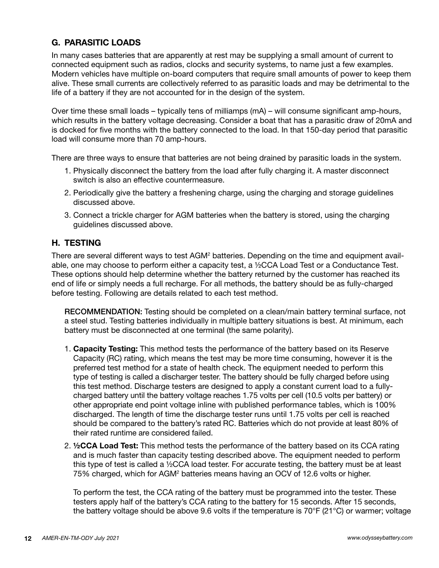# **G. PARASITIC LOADS**

 In many cases batteries that are apparently at rest may be supplying a small amount of current to connected equipment such as radios, clocks and security systems, to name just a few examples. Modern vehicles have multiple on-board computers that require small amounts of power to keep them alive. These small currents are collectively referred to as parasitic loads and may be detrimental to the life of a battery if they are not accounted for in the design of the system.

 Over time these small loads – typically tens of milliamps (mA) – will consume significant amp-hours, which results in the battery voltage decreasing. Consider a boat that has a parasitic draw of 20mA and is docked for five months with the battery connected to the load. In that 150-day period that parasitic load will consume more than 70 amp-hours.

There are three ways to ensure that batteries are not being drained by parasitic loads in the system.

- 1. Physically disconnect the battery from the load after fully charging it. A master disconnect switch is also an effective countermeasure.
- 2. Periodically give the battery a freshening charge, using the charging and storage guidelines discussed above.
- 3. Connect a trickle charger for AGM batteries when the battery is stored, using the charging guidelines discussed above.

#### **H. TESTING**

There are several different ways to test AGM<sup>2</sup> batteries. Depending on the time and equipment available, one may choose to perform either a capacity test, a ½CCA Load Test or a Conductance Test. These options should help determine whether the battery returned by the customer has reached its end of life or simply needs a full recharge. For all methods, the battery should be as fully-charged before testing. Following are details related to each test method.

 RECOMMENDATION: Testing should be completed on a clean/main battery terminal surface, not a steel stud. Testing batteries individually in multiple battery situations is best. At minimum, each battery must be disconnected at one terminal (the same polarity).

- 1. **Capacity Testing:** This method tests the performance of the battery based on its Reserve Capacity (RC) rating, which means the test may be more time consuming, however it is the preferred test method for a state of health check. The equipment needed to perform this type of testing is called a discharger tester. The battery should be fully charged before using this test method. Discharge testers are designed to apply a constant current load to a fullycharged battery until the battery voltage reaches 1.75 volts per cell (10.5 volts per battery) or other appropriate end point voltage inline with published performance tables, which is 100% discharged. The length of time the discharge tester runs until 1.75 volts per cell is reached should be compared to the battery's rated RC. Batteries which do not provide at least 80% of their rated runtime are considered failed.
- 2. **½CCA Load Test:** This method tests the performance of the battery based on its CCA rating and is much faster than capacity testing described above. The equipment needed to perform this type of test is called a  $\frac{1}{2}$ CCA load tester. For accurate testing, the battery must be at least 75% charged, which for AGM<sup>2</sup> batteries means having an OCV of 12.6 volts or higher.

To perform the test, the CCA rating of the battery must be programmed into the tester. These testers apply half of the battery's CCA rating to the battery for 15 seconds. After 15 seconds, the battery voltage should be above 9.6 volts if the temperature is 70°F (21°C) or warmer; voltage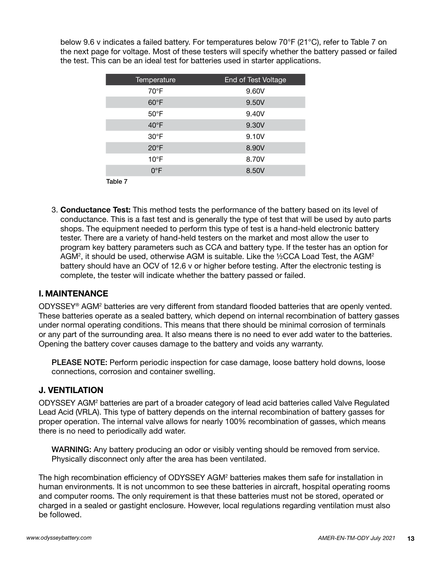below 9.6 v indicates a failed battery. For temperatures below 70°F (21°C), refer to Table 7 on the next page for voltage. Most of these testers will specify whether the battery passed or failed the test. This can be an ideal test for batteries used in starter applications.

| Temperature    | End of Test Voltage |
|----------------|---------------------|
| 70°F           | 9.60V               |
| $60^{\circ}$ F | 9.50V               |
| $50^{\circ}$ F | 9.40V               |
| $40^{\circ}$ F | 9.30V               |
| $30^{\circ}$ F | 9.10V               |
| $20^{\circ}$ F | 8.90V               |
| $10^{\circ}$ F | 8.70V               |
| $0^{\circ}$ F  | 8.50V               |
| Table 7        |                     |

 3. **Conductance Test:** This method tests the performance of the battery based on its level of conductance. This is a fast test and is generally the type of test that will be used by auto parts shops. The equipment needed to perform this type of test is a hand-held electronic battery tester. There are a variety of hand-held testers on the market and most allow the user to program key battery parameters such as CCA and battery type. If the tester has an option for AGM<sup>2</sup>, it should be used, otherwise AGM is suitable. Like the ½CCA Load Test, the AGM<sup>2</sup> battery should have an OCV of 12.6 v or higher before testing. After the electronic testing is complete, the tester will indicate whether the battery passed or failed.

#### **I. MAINTENANCE**

ODYSSEY® AGM<sup>2</sup> batteries are very different from standard flooded batteries that are openly vented. These batteries operate as a sealed battery, which depend on internal recombination of battery gasses under normal operating conditions. This means that there should be minimal corrosion of terminals or any part of the surrounding area. It also means there is no need to ever add water to the batteries. Opening the battery cover causes damage to the battery and voids any warranty.

 PLEASE NOTE: Perform periodic inspection for case damage, loose battery hold downs, loose connections, corrosion and container swelling.

#### **J. VENTILATION**

 ODYSSEY AGM2 batteries are part of a broader category of lead acid batteries called Valve Regulated Lead Acid (VRLA). This type of battery depends on the internal recombination of battery gasses for proper operation. The internal valve allows for nearly 100% recombination of gasses, which means there is no need to periodically add water.

 WARNING: Any battery producing an odor or visibly venting should be removed from service. Physically disconnect only after the area has been ventilated.

 The high recombination efficiency of ODYSSEY AGM2 batteries makes them safe for installation in human environments. It is not uncommon to see these batteries in aircraft, hospital operating rooms and computer rooms. The only requirement is that these batteries must not be stored, operated or charged in a sealed or gastight enclosure. However, local regulations regarding ventilation must also be followed.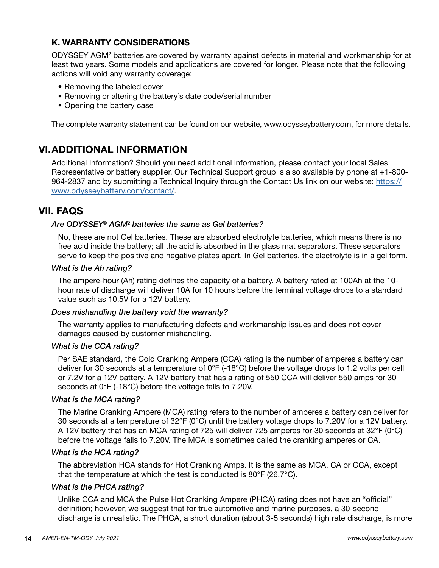# **K. WARRANTY CONSIDERATIONS**

ODYSSEY AGM<sup>2</sup> batteries are covered by warranty against defects in material and workmanship for at least two years. Some models and applications are covered for longer. Please note that the following actions will void any warranty coverage:

- Removing the labeled cover
- Removing or altering the battery's date code/serial number
- Opening the battery case

The complete warranty statement can be found on our website, www.odysseybattery.com, for more details.

# **VI.ADDITIONAL INFORMATION**

 Additional Information? Should you need additional information, please contact your local Sales Representative or battery supplier. Our Technical Support group is also available by phone at +1-800- 964-2837 and by submitting a Technical Inquiry through the Contact Us link on our website: https:// www.odysseybattery.com/contact/.

# **VII. FAQS**

#### Are ODYSSEY<sup>®</sup> AGM<sup>2</sup> batteries the same as Gel batteries?

 No, these are not Gel batteries. These are absorbed electrolyte batteries, which means there is no free acid inside the battery; all the acid is absorbed in the glass mat separators. These separators serve to keep the positive and negative plates apart. In Gel batteries, the electrolyte is in a gel form.

#### *What is the Ah rating?*

 The ampere-hour (Ah) rating defines the capacity of a battery. A battery rated at 100Ah at the 10 hour rate of discharge will deliver 10A for 10 hours before the terminal voltage drops to a standard value such as 10.5V for a 12V battery.

#### *Does mishandling the battery void the warranty?*

 The warranty applies to manufacturing defects and workmanship issues and does not cover damages caused by customer mishandling.

#### *What is the CCA rating?*

 Per SAE standard, the Cold Cranking Ampere (CCA) rating is the number of amperes a battery can deliver for 30 seconds at a temperature of 0°F (-18°C) before the voltage drops to 1.2 volts per cell or 7.2V for a 12V battery. A 12V battery that has a rating of 550 CCA will deliver 550 amps for 30 seconds at 0°F (-18°C) before the voltage falls to 7.20V.

#### *What is the MCA rating?*

 The Marine Cranking Ampere (MCA) rating refers to the number of amperes a battery can deliver for 30 seconds at a temperature of 32°F (0°C) until the battery voltage drops to 7.20V for a 12V battery. A 12V battery that has an MCA rating of 725 will deliver 725 amperes for 30 seconds at 32°F (0°C) before the voltage falls to 7.20V. The MCA is sometimes called the cranking amperes or CA.

#### *What is the HCA rating?*

 The abbreviation HCA stands for Hot Cranking Amps. It is the same as MCA, CA or CCA, except that the temperature at which the test is conducted is 80°F (26.7°C).

#### *What is the PHCA rating?*

 Unlike CCA and MCA the Pulse Hot Cranking Ampere (PHCA) rating does not have an "official" definition; however, we suggest that for true automotive and marine purposes, a 30-second discharge is unrealistic. The PHCA, a short duration (about 3-5 seconds) high rate discharge, is more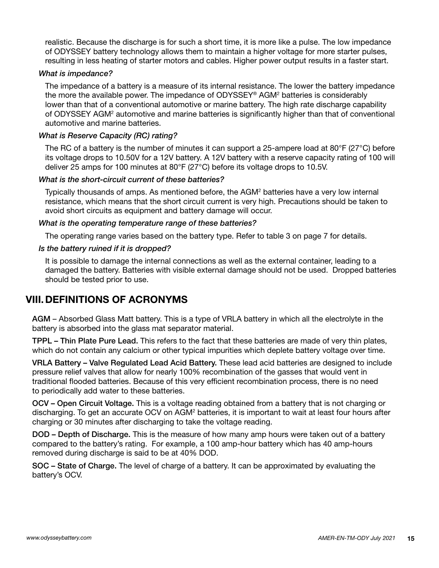realistic. Because the discharge is for such a short time, it is more like a pulse. The low impedance of ODYSSEY battery technology allows them to maintain a higher voltage for more starter pulses, resulting in less heating of starter motors and cables. Higher power output results in a faster start.

#### *What is impedance?*

 The impedance of a battery is a measure of its internal resistance. The lower the battery impedance the more the available power. The impedance of ODYSSEY® AGM2 batteries is considerably lower than that of a conventional automotive or marine battery. The high rate discharge capability of ODYSSEY AGM<sup>2</sup> automotive and marine batteries is significantly higher than that of conventional automotive and marine batteries.

#### *What is Reserve Capacity (RC) rating?*

The RC of a battery is the number of minutes it can support a 25-ampere load at 80 $\degree$ F (27 $\degree$ C) before its voltage drops to 10.50V for a 12V battery. A 12V battery with a reserve capacity rating of 100 will deliver 25 amps for 100 minutes at 80°F (27°C) before its voltage drops to 10.5V.

#### *What is the short-circuit current of these batteries?*

 Typically thousands of amps. As mentioned before, the AGM2 batteries have a very low internal resistance, which means that the short circuit current is very high. Precautions should be taken to avoid short circuits as equipment and battery damage will occur.

#### *What is the operating temperature range of these batteries?*

The operating range varies based on the battery type. Refer to table 3 on page 7 for details.

#### *Is the battery ruined if it is dropped?*

 It is possible to damage the internal connections as well as the external container, leading to a damaged the battery. Batteries with visible external damage should not be used. Dropped batteries should be tested prior to use.

# **VIII.DEFINITIONS OF ACRONYMS**

 AGM – Absorbed Glass Matt battery. This is a type of VRLA battery in which all the electrolyte in the battery is absorbed into the glass mat separator material.

TPPL – Thin Plate Pure Lead. This refers to the fact that these batteries are made of very thin plates, which do not contain any calcium or other typical impurities which deplete battery voltage over time.

 VRLA Battery – Valve Regulated Lead Acid Battery. These lead acid batteries are designed to include pressure relief valves that allow for nearly 100% recombination of the gasses that would vent in traditional flooded batteries. Because of this very efficient recombination process, there is no need to periodically add water to these batteries.

 OCV – Open Circuit Voltage. This is a voltage reading obtained from a battery that is not charging or discharging. To get an accurate OCV on AGM<sup>2</sup> batteries, it is important to wait at least four hours after charging or 30 minutes after discharging to take the voltage reading.

 DOD – Depth of Discharge. This is the measure of how many amp hours were taken out of a battery compared to the battery's rating. For example, a 100 amp-hour battery which has 40 amp-hours removed during discharge is said to be at 40% DOD.

SOC – State of Charge. The level of charge of a battery. It can be approximated by evaluating the battery's OCV.